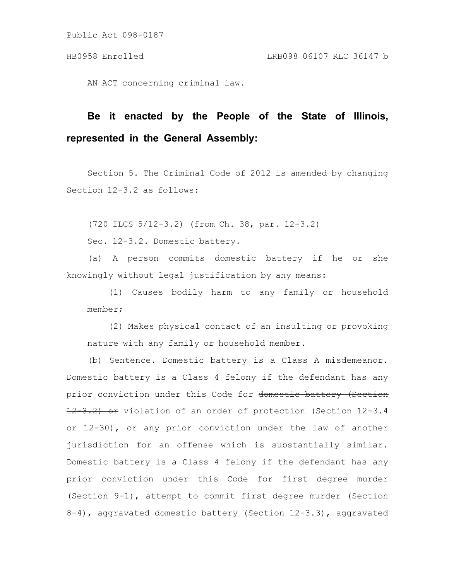Public Act 098-0187

AN ACT concerning criminal law.

## **Be it enacted by the People of the State of Illinois, represented in the General Assembly:**

Section 5. The Criminal Code of 2012 is amended by changing Section 12-3.2 as follows:

(720 ILCS 5/12-3.2) (from Ch. 38, par. 12-3.2)

Sec. 12-3.2. Domestic battery.

(a) A person commits domestic battery if he or she knowingly without legal justification by any means:

(1) Causes bodily harm to any family or household member;

(2) Makes physical contact of an insulting or provoking nature with any family or household member.

(b) Sentence. Domestic battery is a Class A misdemeanor. Domestic battery is a Class 4 felony if the defendant has any prior conviction under this Code for domestic battery (Section 12 3.2) or violation of an order of protection (Section 12-3.4 or 12-30), or any prior conviction under the law of another jurisdiction for an offense which is substantially similar. Domestic battery is a Class 4 felony if the defendant has any prior conviction under this Code for first degree murder (Section 9-1), attempt to commit first degree murder (Section 8-4), aggravated domestic battery (Section 12-3.3), aggravated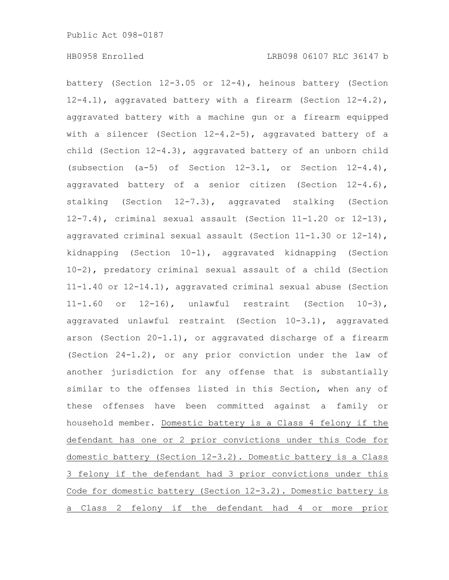battery (Section 12-3.05 or 12-4), heinous battery (Section 12-4.1), aggravated battery with a firearm (Section 12-4.2), aggravated battery with a machine gun or a firearm equipped with a silencer (Section 12-4.2-5), aggravated battery of a child (Section 12-4.3), aggravated battery of an unborn child (subsection  $(a-5)$  of Section  $12-3.1$ , or Section  $12-4.4$ ), aggravated battery of a senior citizen (Section 12-4.6), stalking (Section 12-7.3), aggravated stalking (Section 12-7.4), criminal sexual assault (Section 11-1.20 or 12-13), aggravated criminal sexual assault (Section 11-1.30 or 12-14), kidnapping (Section 10-1), aggravated kidnapping (Section 10-2), predatory criminal sexual assault of a child (Section 11-1.40 or 12-14.1), aggravated criminal sexual abuse (Section 11-1.60 or 12-16), unlawful restraint (Section 10-3), aggravated unlawful restraint (Section 10-3.1), aggravated arson (Section 20-1.1), or aggravated discharge of a firearm (Section 24-1.2), or any prior conviction under the law of another jurisdiction for any offense that is substantially similar to the offenses listed in this Section, when any of these offenses have been committed against a family or household member. Domestic battery is a Class 4 felony if the defendant has one or 2 prior convictions under this Code for domestic battery (Section 12-3.2). Domestic battery is a Class 3 felony if the defendant had 3 prior convictions under this Code for domestic battery (Section 12-3.2). Domestic battery is a Class 2 felony if the defendant had 4 or more prior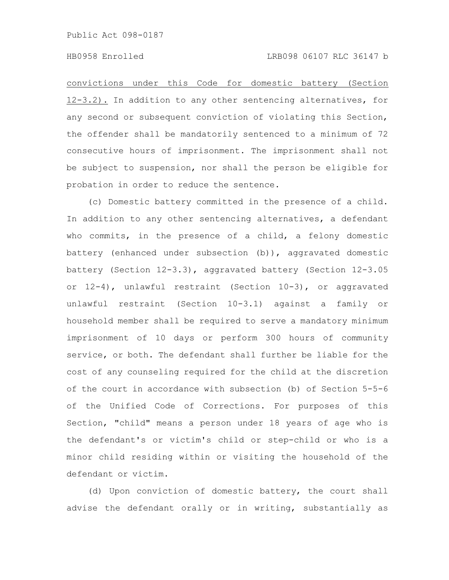## HB0958 Enrolled LRB098 06107 RLC 36147 b

convictions under this Code for domestic battery (Section 12-3.2). In addition to any other sentencing alternatives, for any second or subsequent conviction of violating this Section, the offender shall be mandatorily sentenced to a minimum of 72 consecutive hours of imprisonment. The imprisonment shall not be subject to suspension, nor shall the person be eligible for probation in order to reduce the sentence.

(c) Domestic battery committed in the presence of a child. In addition to any other sentencing alternatives, a defendant who commits, in the presence of a child, a felony domestic battery (enhanced under subsection (b)), aggravated domestic battery (Section 12-3.3), aggravated battery (Section 12-3.05 or 12-4), unlawful restraint (Section 10-3), or aggravated unlawful restraint (Section 10-3.1) against a family or household member shall be required to serve a mandatory minimum imprisonment of 10 days or perform 300 hours of community service, or both. The defendant shall further be liable for the cost of any counseling required for the child at the discretion of the court in accordance with subsection (b) of Section 5-5-6 of the Unified Code of Corrections. For purposes of this Section, "child" means a person under 18 years of age who is the defendant's or victim's child or step-child or who is a minor child residing within or visiting the household of the defendant or victim.

(d) Upon conviction of domestic battery, the court shall advise the defendant orally or in writing, substantially as